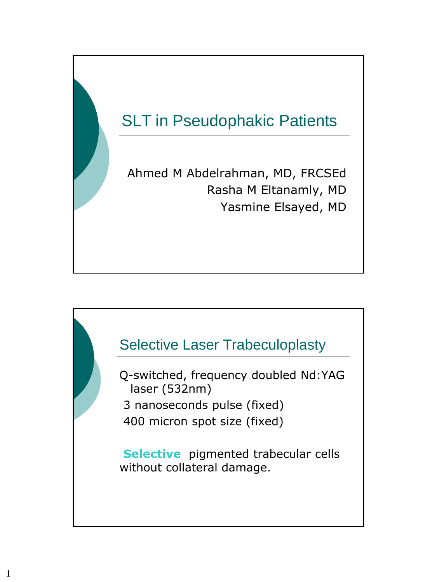



Q-switched, frequency doubled Nd:YAG laser (532nm) 3 nanoseconds pulse (fixed) 400 micron spot size (fixed)

**Selective** pigmented trabecular cells without collateral damage.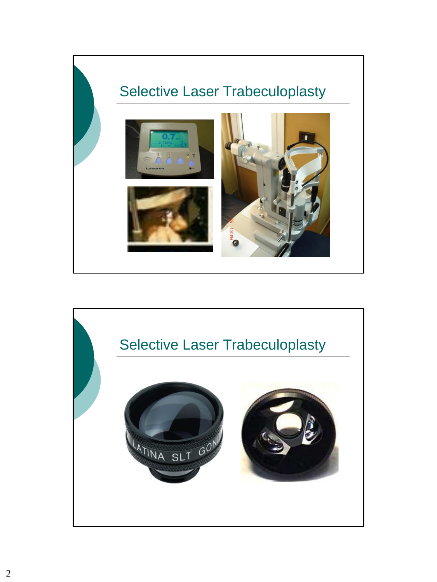

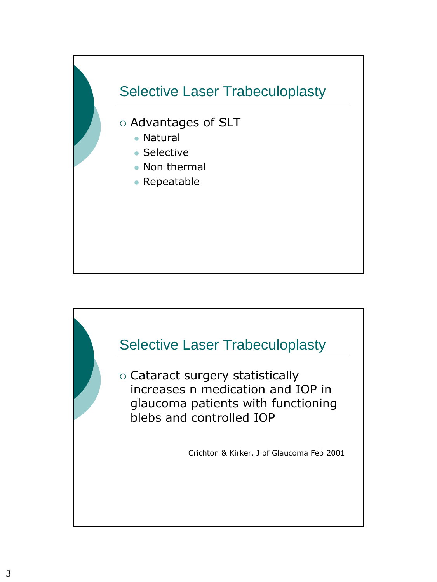

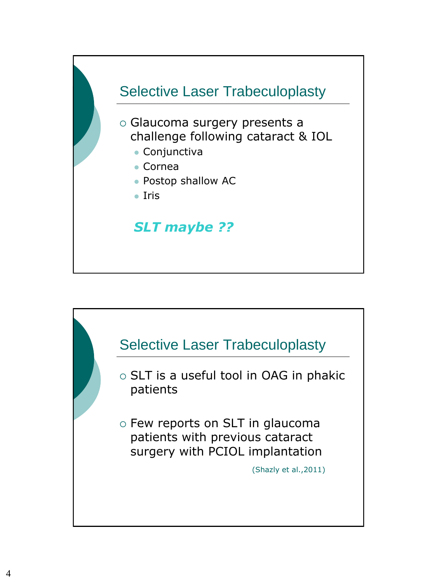

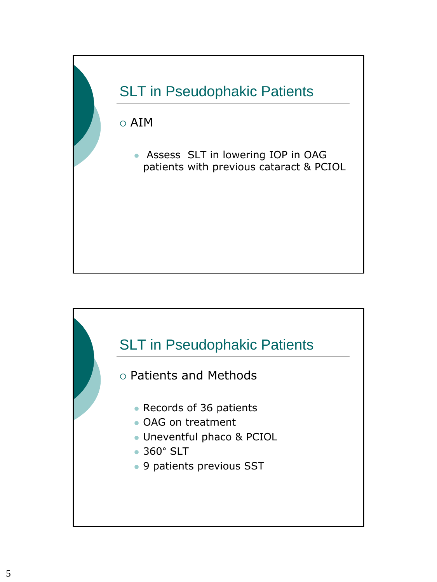

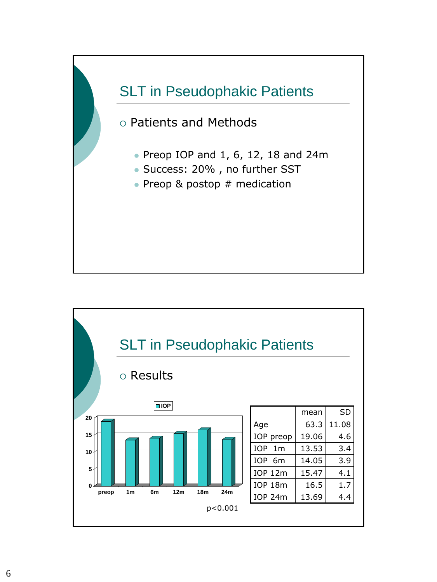

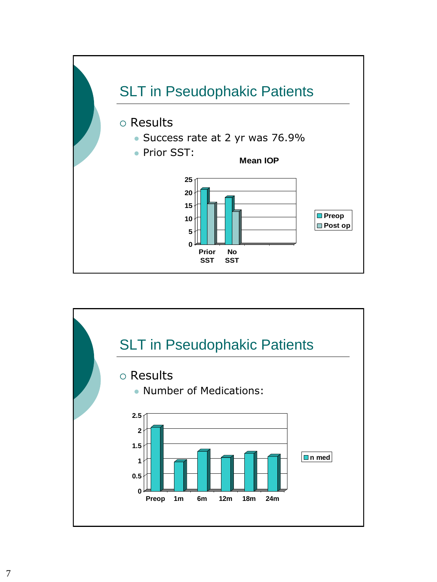

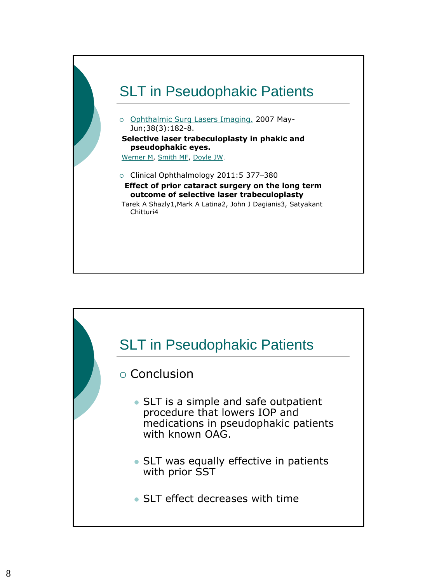